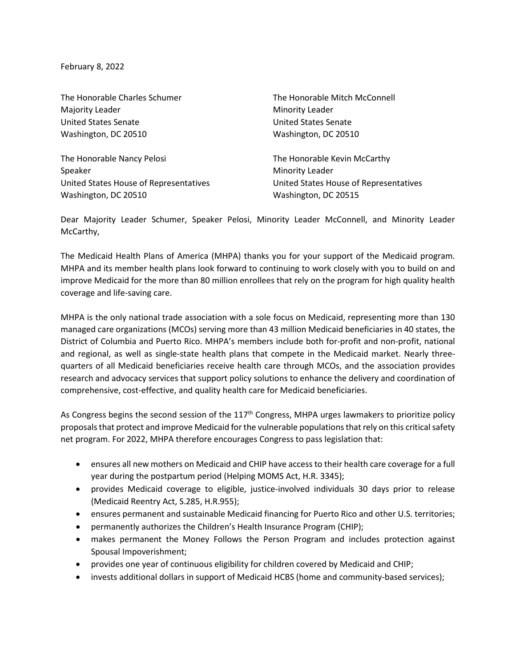February 8, 2022

The Honorable Charles Schumer Majority Leader United States Senate Washington, DC 20510 The Honorable Mitch McConnell Minority Leader United States Senate Washington, DC 20510 The Honorable Nancy Pelosi Speaker United States House of Representatives Washington, DC 20510 The Honorable Kevin McCarthy Minority Leader United States House of Representatives Washington, DC 20515

Dear Majority Leader Schumer, Speaker Pelosi, Minority Leader McConnell, and Minority Leader McCarthy,

The Medicaid Health Plans of America (MHPA) thanks you for your support of the Medicaid program. MHPA and its member health plans look forward to continuing to work closely with you to build on and improve Medicaid for the more than 80 million enrollees that rely on the program for high quality health coverage and life-saving care.

MHPA is the only national trade association with a sole focus on Medicaid, representing more than 130 managed care organizations (MCOs) serving more than 43 million Medicaid beneficiaries in 40 states, the District of Columbia and Puerto Rico. MHPA's members include both for-profit and non-profit, national and regional, as well as single-state health plans that compete in the Medicaid market. Nearly threequarters of all Medicaid beneficiaries receive health care through MCOs, and the association provides research and advocacy services that support policy solutions to enhance the delivery and coordination of comprehensive, cost-effective, and quality health care for Medicaid beneficiaries.

As Congress begins the second session of the 117<sup>th</sup> Congress, MHPA urges lawmakers to prioritize policy proposals that protect and improve Medicaid for the vulnerable populations that rely on this critical safety net program. For 2022, MHPA therefore encourages Congress to pass legislation that:

- ensures all new mothers on Medicaid and CHIP have access to their health care coverage for a full year during the postpartum period (Helping MOMS Act, H.R. 3345);
- provides Medicaid coverage to eligible, justice-involved individuals 30 days prior to release (Medicaid Reentry Act, S.285, H.R.955);
- ensures permanent and sustainable Medicaid financing for Puerto Rico and other U.S. territories;
- permanently authorizes the Children's Health Insurance Program (CHIP);
- makes permanent the Money Follows the Person Program and includes protection against Spousal Impoverishment;
- provides one year of continuous eligibility for children covered by Medicaid and CHIP;
- invests additional dollars in support of Medicaid HCBS (home and community-based services);